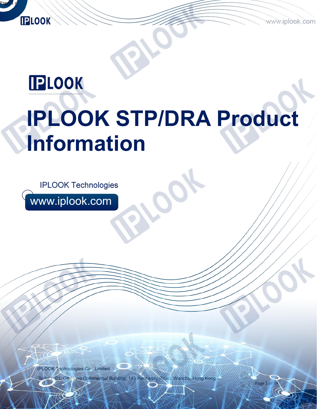Page 1 of

# **IPLOOK**

Page 1 of 14  $\sim$  14  $\sim$  14  $\sim$  14  $\sim$  14  $\sim$  14  $\sim$  14  $\sim$  14  $\sim$  14  $\sim$  14  $\sim$  14  $\sim$  14  $\sim$  14  $\sim$  14  $\sim$  14  $\sim$  14  $\sim$  14  $\sim$  14  $\sim$  14  $\sim$  14  $\sim$  14  $\sim$  14  $\sim$  14  $\sim$  14  $\sim$  14  $\sim$  14  $\sim$  14

**IPLOOK** 

# **IPLOOK STP/DRA Product Information**

**IPLOOK Technologies** 

www.iplook.com

IPLOOK Technologies Co., Limited Suite 1101, On Hong Commercial Building, 145 Hennessy Road, Wanchai Hong Kong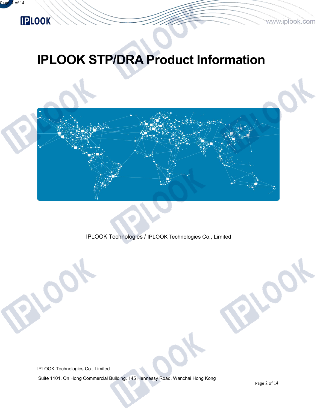# **IPLOOK STP/DRA Product Information**



IPLOOK Technologies / IPLOOK Technologies Co., Limited

IPLOOK Technologies Co., Limited

Suite 1101, On Hong Commercial Building, 145 Hennessy Road, Wanchai Hong Kong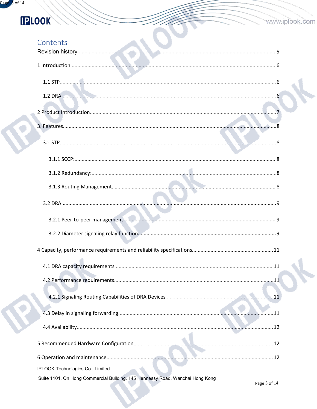| Contents                                                                      |    |
|-------------------------------------------------------------------------------|----|
|                                                                               |    |
|                                                                               |    |
|                                                                               |    |
|                                                                               |    |
|                                                                               |    |
|                                                                               |    |
|                                                                               |    |
|                                                                               |    |
|                                                                               |    |
|                                                                               |    |
|                                                                               |    |
|                                                                               |    |
|                                                                               |    |
|                                                                               |    |
|                                                                               | 11 |
|                                                                               |    |
|                                                                               |    |
|                                                                               |    |
|                                                                               |    |
|                                                                               |    |
|                                                                               |    |
|                                                                               |    |
| IPLOOK Technologies Co., Limited                                              |    |
| Suite 1101, On Hong Commercial Building, 145 Hennessy Road, Wanchai Hong Kong |    |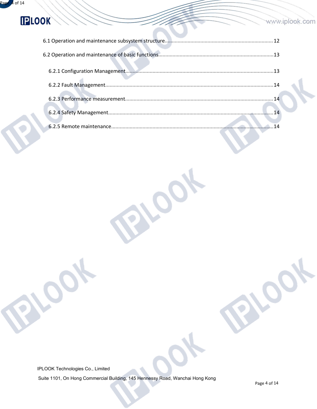#### www.iplook.com

IPLOOK Technologies Co., Limited

Suite 1101, On Hong Commercial Building, 145 Hennessy Road, Wanchai Hong Kong

 $\mathbf{Q}_t$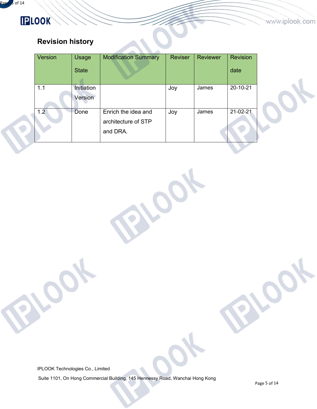# **IPLOOK**

### <span id="page-4-0"></span>**Revision history**

| Version | Usage<br><b>State</b> | <b>Modification Summary</b>                            | <b>Reviser</b> | Reviewer | <b>Revision</b><br>date |  |
|---------|-----------------------|--------------------------------------------------------|----------------|----------|-------------------------|--|
| 1.1     | Initiation<br>Version |                                                        | Joy            | James    | 20-10-21                |  |
| 1.2     | Done                  | Enrich the idea and<br>architecture of STP<br>and DRA. | Joy            | James    | 21-02-21                |  |

IPLOOK Technologies Co., Limited

Suite 1101, On Hong Commercial Building, 145 Hennessy Road, Wanchai Hong Kong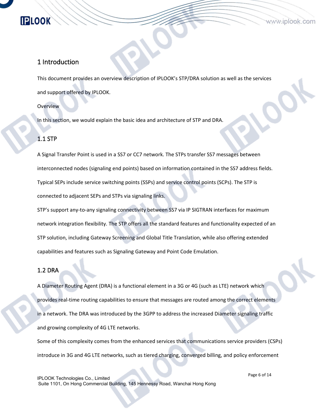#### <span id="page-5-0"></span>1 Introduction

This document provides an overview description of IPLOOK's STP/DRA solution as well as the services and support offered by IPLOOK.

Overview

In this section, we would explain the basic idea and architecture of STP and DRA.

#### <span id="page-5-1"></span>1.1 STP

A Signal Transfer Point is used in a SS7 or CC7 network. The STPs transfer SS7 messages between interconnected nodes (signaling end points) based on information contained in the SS7 address fields.<br>Typical SEPs include service switching points (SSPs) and service control points (SCPs). The STP is connected to adjacent SEPs and STPs via signaling links.

STP's support any-to-any signaling connectivity between SS7 via IP SIGTRAN interfaces formaximum network integration flexibility. The STP offers all the standard features and functionality expected of an STP solution, including Gateway Screening and Global Title Translation, while also offering extended capabilities and features such as Signaling Gateway and Point Code Emulation.

#### <span id="page-5-2"></span>1.2 DRA

A Diameter Routing Agent(DRA) is a functional element in a 3G or 4G (such as LTE) network which provides real-time routing capabilities to ensure that messages are routed among the correct elements in a network. The DRA was introduced by the 3GPP to address the increased Diameter signaling traffic and growing complexity of 4G LTE networks.

Some of this complexity comes from the enhanced services that communications service providers (CSPs) introduce in 3G and 4G LTE networks, such as tiered charging, converged billing, and policy enforcement

IPLOOK Technologies Co., Limited Suite 1101, On Hong Commercial Building, 145 Hennessy Road, Wanchai Hong Kong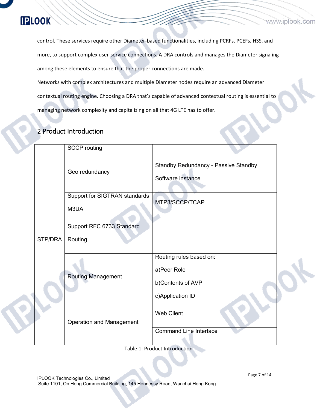control. These services require other Diameter-based functionalities, including PCRFs, PCEFs, HSS, and more, to support complex user-service connections. A DRA controlsand manages the Diameter signaling among these elements to ensure that the proper connections are made. Networks with complex architectures and multiple Diameter nodes require an advanced Diameter contextual routing engine. Choosing a DRA that's capable of advanced contextual routing is essential to managing network complexity and capitalizing on all that 4G LTE has to offer.

#### <span id="page-6-0"></span>2 Product Introduction

|         | <b>SCCP</b> routing                   |                                                                                 |  |
|---------|---------------------------------------|---------------------------------------------------------------------------------|--|
|         | Geo redundancy                        | <b>Standby Redundancy - Passive Standby</b><br>Software instance                |  |
|         | Support for SIGTRAN standards<br>M3UA | MTP3/SCCP/TCAP                                                                  |  |
| STP/DRA | Support RFC 6733 Standard<br>Routing  |                                                                                 |  |
|         | <b>Routing Management</b>             | Routing rules based on:<br>a)Peer Role<br>b)Contents of AVP<br>c)Application ID |  |
|         | <b>Operation and Management</b>       | Web Client<br><b>Command Line Interface</b>                                     |  |

Table 1: Product Introduction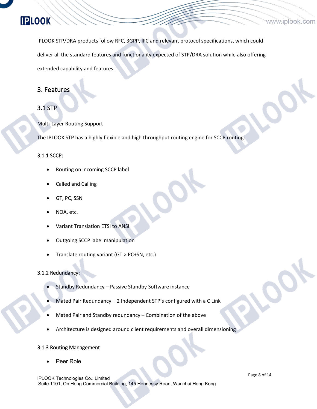IPLOOK STP/DRA products follow RFC, 3GPP, IFC and relevant protocol specifications, which could deliver all the standard features and functionality expected of STP/DRA solution while also offering extended capability and features.

#### <span id="page-7-0"></span>3. Features

#### <span id="page-7-1"></span>3.1 STP

Multi-Layer Routing Support

The IPLOOK STP has a highly flexible and high throughput routing engine for SCCP routing:

#### <span id="page-7-2"></span>3.1.1 SCCP:

- Routing on incoming SCCP label
- Called and Calling
- GT, PC, SSN
- NOA, etc.
- Variant Translation ETSI to ANSI
- Outgoing SCCP label manipulation
- Translate routing variant (GT > PC+SN, etc.)

#### <span id="page-7-3"></span>3.1.2 Redundancy:

- Standby Redundancy Passive Standby Software instance
- Mated Pair Redundancy 2 Independent STP's configured with a C Link
- Mated Pair and Standby redundancy Combination of the above
- Architecture is designed around client requirements and overall dimensioning

#### <span id="page-7-4"></span>3.1.3 Routing Management

Peer Role

IPLOOK Technologies Co., Limited Suite 1101, On Hong Commercial Building, 145 Hennessy Road, Wanchai Hong Kong Page 8 of 14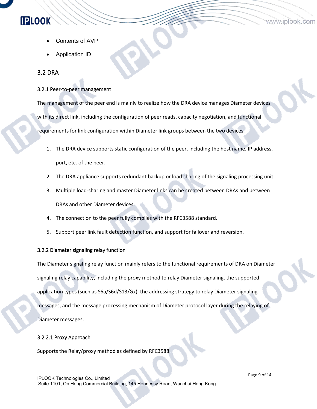- Contents of AVP
- Application ID

#### <span id="page-8-0"></span>3.2 DRA

**IPLOOK** 

#### <span id="page-8-1"></span>3.2.1 Peer-to-peer management

The management of the peer end is mainly to realize how the DRA device manages Diameter devices with its direct link, including the configuration of peer reads, capacity negotiation, and functional requirements for link configuration within Diameter link groups between the two devices.

- 1. The DRA device supports static configuration of the peer, including the host name, IP address, port, etc. of the peer.
- 2. The DRA appliance supports redundant backup or load sharing of the signaling processing unit.
- 3. Multiple load-sharing and master Diameter links can be created between DRAs and between DRAs and other Diameter devices.
- 4. The connection to the peer fully complies with the RFC3588 standard.
- 5. Support peer link fault detection function, and support for failover and reversion.

#### <span id="page-8-2"></span>3.2.2 Diameter signaling relay function

The Diameter signaling relay function mainly refers to the functional requirements of DRA on Diameter signaling relay capability, including the proxy method to relay Diameter signaling, the supported application types (such as S6a/S6d/S13/Gx), the addressing strategy to relay Diameter signaling messages, and the message processing mechanism of Diameter protocol layer during the relaying of Diameter messages.

#### 3.2.2.1 Proxy Approach

Supports the Relay/proxy method as defined by RFC3588.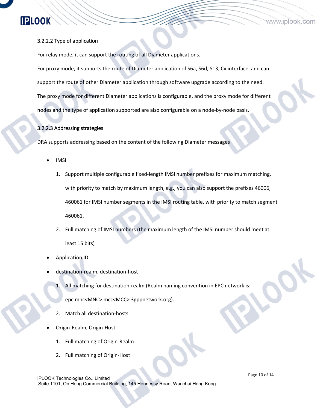#### 3.2.2.2 Type of application

For relay mode, it can support the routing of all Diameter applications.

For proxy mode, it supports the route of Diameter application of S6a, S6d, S13, Cx interface, and can support the route of other Diameter application through software upgrade according to the need. The proxy mode for different Diameter applications is configurable, and the proxy mode for different nodes and the type of application supported are also configurable on a node-by-node basis.

#### 3.2.2.3 Addressing strategies

DRA supports addressing based on the content of the following Diameter messages

- IMSI
	- 1. Support multiple configurable fixed-length IMSI number prefixes for maximum matching, with priority to match by maximum length, e.g., you can also support the prefixes 46006, 460061 for IMSI number segments in the IMSI routing table, with priority to match segment 460061.
	- 2. Full matching of IMSI numbers (the maximum length of the IMSI number should meet at least 15 bits)
- Application ID
- destination-realm, destination-host
	- 1. All matching for destination-realm (Realm naming convention in EPC network is:

epc.mnc<MNC>.mcc<MCC>.3gppnetwork.org).

- 2. Match all destination-hosts.
- Origin-Realm, Origin-Host
	- 1. Full matching of Origin-Realm
	- 2. Full matching of Origin-Host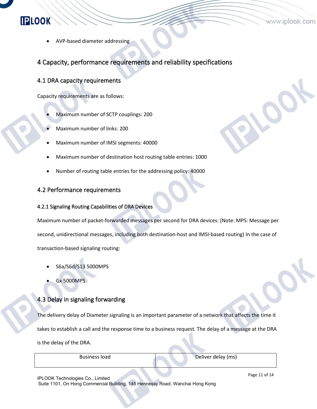AVP-based diameter addressing

#### <span id="page-10-0"></span>4 Capacity, performance requirements and reliability specifications

#### <span id="page-10-1"></span>4.1 DRA capacity requirements

**IPLOOK** 

Capacity requirements are as follows:

- Maximum number of SCTP couplings: 200
- Maximum number of links: 200
- Maximum number of IMSI segments: 40000
- Maximum number of destination host routing table entries: 1000
- Number of routing table entries for the addressing policy: 40000

#### <span id="page-10-2"></span>4.2 Performance requirements

#### <span id="page-10-3"></span>4.2.1 Signaling Routing Capabilities of DRA Devices

Maximum number of packet-forwarded messages per second for DRA devices: (Note: MPS: Message per second, unidirectional messages, including both destination-host and IMSI-based routing) In the case of transaction-based signaling routing:

- S6a/S6d/S13 5000MPS
- Gx 5000MPS

#### <span id="page-10-4"></span>4.3 Delay in signaling forwarding

The delivery delay of Diameter signaling is an important parameter of a network that affects the time it takes to establish a call and the response time to a business request. The delay of a message at the DRA is the delay of the DRA.

Business load Deliver delay (ms)

IPLOOK Technologies Co., Limited Suite 1101, On Hong Commercial Building, 145 Hennessy Road, Wanchai Hong Kong Page 11 of 14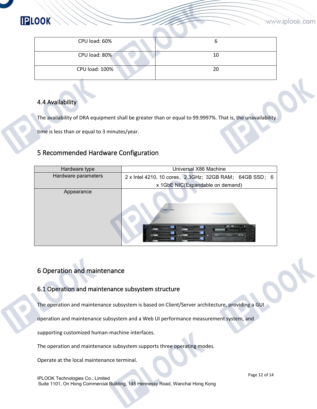| CPU load: 60%  |    |
|----------------|----|
|                |    |
| CPU load: 80%  | 10 |
|                |    |
| CPU load: 100% | 20 |
|                |    |

#### <span id="page-11-0"></span>4.4 Availability

The availability of DRA equipment shall be greater than or equal to 99.9997%. That is, the unavailability

time is less than or equal to 3 minutes/year.

#### <span id="page-11-1"></span>5 Recommended Hardware Configuration

| Hardware type       | Universal X86 Machine                                   |
|---------------------|---------------------------------------------------------|
| Hardware parameters | 2 x Intel 4210, 10 cores, 2.3GHz; 32GB RAM; 64GB SSD; 6 |
|                     | x 1GbE NIC(Expandable on demand)                        |
| Appearance          | <b>CONTENTIAL</b><br><b>HEAR</b>                        |

#### <span id="page-11-2"></span>6 Operation and maintenance

#### <span id="page-11-3"></span>6.1 Operation and maintenance subsystem structure

The operation and maintenance subsystem is based on Client/Server architecture, providing a GUI

operation and maintenance subsystem and a Web UI performance measurement system, and

supporting customized human-machine interfaces.

The operation and maintenance subsystem supports three operating modes.

Operate at the local maintenance terminal.

IPLOOK Technologies Co., Limited Suite 1101, On Hong Commercial Building, 145 Hennessy Road, Wanchai Hong Kong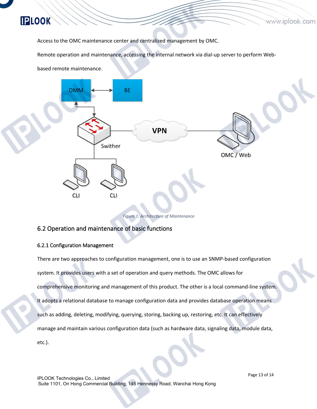Access to the OMC maintenance center and centralized management by OMC.

Remote operation and maintenance, accessing the internal network via dial-up server to perform Web-

based remote maintenance.

**IPLOOK** 



*Figure 1: Architecture of Maintenance*

#### <span id="page-12-0"></span>6.2 Operation and maintenance of basic functions

#### <span id="page-12-1"></span>6.2.1 Configuration Management

There are two approaches to configuration management, one is to use an SNMP-based configuration system. It provides users with a set of operation and query methods. The OMC allows for comprehensive monitoring and management of this product. The other is a local command-line system. It adopts a relational database to manage configuration data and provides database operation means such as adding, deleting, modifying, querying, storing, backing up, restoring, etc. It can effectively manage and maintain various configuration data (such as hardware data, signaling data, module data, etc.).